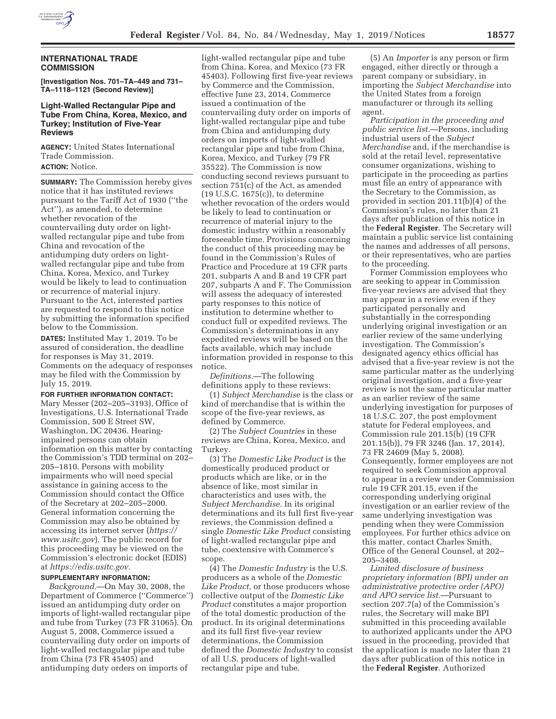

# **INTERNATIONAL TRADE COMMISSION**

**[Investigation Nos. 701–TA–449 and 731– TA–1118–1121 (Second Review)]** 

# **Light-Walled Rectangular Pipe and Tube From China, Korea, Mexico, and Turkey; Institution of Five-Year Reviews**

**AGENCY:** United States International Trade Commission. **ACTION:** Notice.

**SUMMARY:** The Commission hereby gives notice that it has instituted reviews pursuant to the Tariff Act of 1930 (''the Act''), as amended, to determine whether revocation of the countervailing duty order on lightwalled rectangular pipe and tube from China and revocation of the antidumping duty orders on lightwalled rectangular pipe and tube from China, Korea, Mexico, and Turkey would be likely to lead to continuation or recurrence of material injury. Pursuant to the Act, interested parties are requested to respond to this notice by submitting the information specified below to the Commission.

**DATES:** Instituted May 1, 2019. To be assured of consideration, the deadline for responses is May 31, 2019. Comments on the adequacy of responses may be filed with the Commission by July 15, 2019.

### **FOR FURTHER INFORMATION CONTACT:**

Mary Messer (202–205–3193), Office of Investigations, U.S. International Trade Commission, 500 E Street SW, Washington, DC 20436. Hearingimpaired persons can obtain information on this matter by contacting the Commission's TDD terminal on 202– 205–1810. Persons with mobility impairments who will need special assistance in gaining access to the Commission should contact the Office of the Secretary at 202–205–2000. General information concerning the Commission may also be obtained by accessing its internet server (*https:// www.usitc.gov*). The public record for this proceeding may be viewed on the Commission's electronic docket (EDIS) at *https://edis.usitc.gov.* 

### **SUPPLEMENTARY INFORMATION:**

*Background.*—On May 30, 2008, the Department of Commerce (''Commerce'') issued an antidumping duty order on imports of light-walled rectangular pipe and tube from Turkey (73 FR 31065). On August 5, 2008, Commerce issued a countervailing duty order on imports of light-walled rectangular pipe and tube from China (73 FR 45405) and antidumping duty orders on imports of

light-walled rectangular pipe and tube from China, Korea, and Mexico (73 FR 45403). Following first five-year reviews by Commerce and the Commission, effective June 23, 2014, Commerce issued a continuation of the countervailing duty order on imports of light-walled rectangular pipe and tube from China and antidumping duty orders on imports of light-walled rectangular pipe and tube from China, Korea, Mexico, and Turkey (79 FR 35522). The Commission is now conducting second reviews pursuant to section 751(c) of the Act, as amended (19 U.S.C. 1675(c)), to determine whether revocation of the orders would be likely to lead to continuation or recurrence of material injury to the domestic industry within a reasonably foreseeable time. Provisions concerning the conduct of this proceeding may be found in the Commission's Rules of Practice and Procedure at 19 CFR parts 201, subparts A and B and 19 CFR part 207, subparts A and F. The Commission will assess the adequacy of interested party responses to this notice of institution to determine whether to conduct full or expedited reviews. The Commission's determinations in any expedited reviews will be based on the facts available, which may include information provided in response to this notice.

*Definitions.*—The following definitions apply to these reviews:

(1) *Subject Merchandise* is the class or kind of merchandise that is within the scope of the five-year reviews, as defined by Commerce.

(2) The *Subject Countries* in these reviews are China, Korea, Mexico, and Turkey.

(3) The *Domestic Like Product* is the domestically produced product or products which are like, or in the absence of like, most similar in characteristics and uses with, the *Subject Merchandise.* In its original determinations and its full first five-year reviews, the Commission defined a single *Domestic Like Product* consisting of light-walled rectangular pipe and tube, coextensive with Commerce's scope.

(4) The *Domestic Industry* is the U.S. producers as a whole of the *Domestic Like Product,* or those producers whose collective output of the *Domestic Like Product* constitutes a major proportion of the total domestic production of the product. In its original determinations and its full first five-year review determinations, the Commission defined the *Domestic Industry* to consist of all U.S. producers of light-walled rectangular pipe and tube.

(5) An *Importer* is any person or firm engaged, either directly or through a parent company or subsidiary, in importing the *Subject Merchandise* into the United States from a foreign manufacturer or through its selling agent.

*Participation in the proceeding and public service list.*—Persons, including industrial users of the *Subject Merchandise* and, if the merchandise is sold at the retail level, representative consumer organizations, wishing to participate in the proceeding as parties must file an entry of appearance with the Secretary to the Commission, as provided in section 201.11(b)(4) of the Commission's rules, no later than 21 days after publication of this notice in the **Federal Register**. The Secretary will maintain a public service list containing the names and addresses of all persons, or their representatives, who are parties to the proceeding.

Former Commission employees who are seeking to appear in Commission five-year reviews are advised that they may appear in a review even if they participated personally and substantially in the corresponding underlying original investigation or an earlier review of the same underlying investigation. The Commission's designated agency ethics official has advised that a five-year review is not the same particular matter as the underlying original investigation, and a five-year review is not the same particular matter as an earlier review of the same underlying investigation for purposes of 18 U.S.C. 207, the post employment statute for Federal employees, and Commission rule 201.15(b) (19 CFR 201.15(b)), 79 FR 3246 (Jan. 17, 2014), 73 FR 24609 (May 5, 2008). Consequently, former employees are not required to seek Commission approval to appear in a review under Commission rule 19 CFR 201.15, even if the corresponding underlying original investigation or an earlier review of the same underlying investigation was pending when they were Commission employees. For further ethics advice on this matter, contact Charles Smith, Office of the General Counsel, at 202– 205–3408.

*Limited disclosure of business proprietary information (BPI) under an administrative protective order (APO) and APO service list.*—Pursuant to section 207.7(a) of the Commission's rules, the Secretary will make BPI submitted in this proceeding available to authorized applicants under the APO issued in the proceeding, provided that the application is made no later than 21 days after publication of this notice in the **Federal Register**. Authorized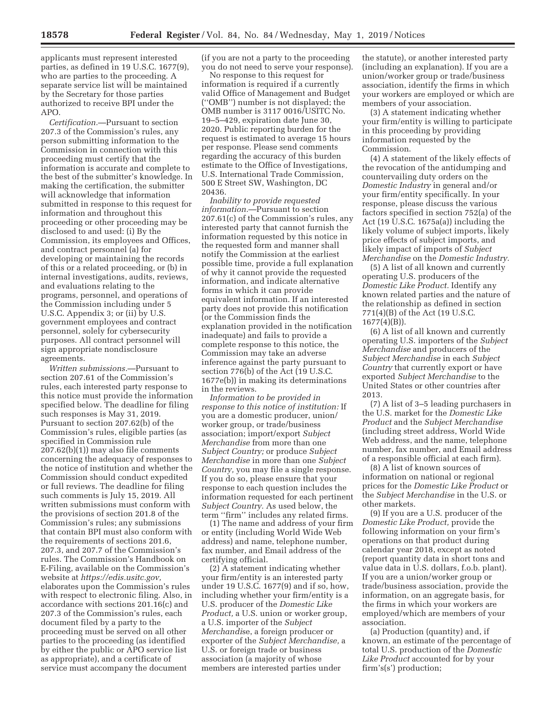applicants must represent interested parties, as defined in 19 U.S.C. 1677(9), who are parties to the proceeding. A separate service list will be maintained by the Secretary for those parties authorized to receive BPI under the APO.

*Certification.*—Pursuant to section 207.3 of the Commission's rules, any person submitting information to the Commission in connection with this proceeding must certify that the information is accurate and complete to the best of the submitter's knowledge. In making the certification, the submitter will acknowledge that information submitted in response to this request for information and throughout this proceeding or other proceeding may be disclosed to and used: (i) By the Commission, its employees and Offices, and contract personnel (a) for developing or maintaining the records of this or a related proceeding, or (b) in internal investigations, audits, reviews, and evaluations relating to the programs, personnel, and operations of the Commission including under 5 U.S.C. Appendix 3; or (ii) by U.S. government employees and contract personnel, solely for cybersecurity purposes. All contract personnel will sign appropriate nondisclosure agreements.

*Written submissions.*—Pursuant to section 207.61 of the Commission's rules, each interested party response to this notice must provide the information specified below. The deadline for filing such responses is May 31, 2019. Pursuant to section 207.62(b) of the Commission's rules, eligible parties (as specified in Commission rule 207.62(b)(1)) may also file comments concerning the adequacy of responses to the notice of institution and whether the Commission should conduct expedited or full reviews. The deadline for filing such comments is July 15, 2019. All written submissions must conform with the provisions of section 201.8 of the Commission's rules; any submissions that contain BPI must also conform with the requirements of sections 201.6, 207.3, and 207.7 of the Commission's rules. The Commission's Handbook on E-Filing, available on the Commission's website at *https://edis.usitc.gov,*  elaborates upon the Commission's rules with respect to electronic filing. Also, in accordance with sections 201.16(c) and 207.3 of the Commission's rules, each document filed by a party to the proceeding must be served on all other parties to the proceeding (as identified by either the public or APO service list as appropriate), and a certificate of service must accompany the document

(if you are not a party to the proceeding you do not need to serve your response).

No response to this request for information is required if a currently valid Office of Management and Budget (''OMB'') number is not displayed; the OMB number is 3117 0016/USITC No. 19–5–429, expiration date June 30, 2020. Public reporting burden for the request is estimated to average 15 hours per response. Please send comments regarding the accuracy of this burden estimate to the Office of Investigations, U.S. International Trade Commission, 500 E Street SW, Washington, DC 20436.

*Inability to provide requested information.*—Pursuant to section 207.61(c) of the Commission's rules, any interested party that cannot furnish the information requested by this notice in the requested form and manner shall notify the Commission at the earliest possible time, provide a full explanation of why it cannot provide the requested information, and indicate alternative forms in which it can provide equivalent information. If an interested party does not provide this notification (or the Commission finds the explanation provided in the notification inadequate) and fails to provide a complete response to this notice, the Commission may take an adverse inference against the party pursuant to section 776(b) of the Act (19 U.S.C. 1677e(b)) in making its determinations in the reviews.

*Information to be provided in response to this notice of institution:* If you are a domestic producer, union/ worker group, or trade/business association; import/export *Subject Merchandise* from more than one *Subject Country;* or produce *Subject Merchandise* in more than one *Subject Country,* you may file a single response. If you do so, please ensure that your response to each question includes the information requested for each pertinent *Subject Country.* As used below, the term ''firm'' includes any related firms.

(1) The name and address of your firm or entity (including World Wide Web address) and name, telephone number, fax number, and Email address of the certifying official.

(2) A statement indicating whether your firm/entity is an interested party under 19 U.S.C. 1677(9) and if so, how, including whether your firm/entity is a U.S. producer of the *Domestic Like Product,* a U.S. union or worker group, a U.S. importer of the *Subject Merchandi*se, a foreign producer or exporter of the *Subject Merchandise,* a U.S. or foreign trade or business association (a majority of whose members are interested parties under

the statute), or another interested party (including an explanation). If you are a union/worker group or trade/business association, identify the firms in which your workers are employed or which are members of your association.

(3) A statement indicating whether your firm/entity is willing to participate in this proceeding by providing information requested by the Commission.

(4) A statement of the likely effects of the revocation of the antidumping and countervailing duty orders on the *Domestic Industry* in general and/or your firm/entity specifically. In your response, please discuss the various factors specified in section 752(a) of the Act (19 U.S.C. 1675a(a)) including the likely volume of subject imports, likely price effects of subject imports, and likely impact of imports of *Subject Merchandise* on the *Domestic Industry.* 

(5) A list of all known and currently operating U.S. producers of the *Domestic Like Product.* Identify any known related parties and the nature of the relationship as defined in section 771(4)(B) of the Act (19 U.S.C. 1677(4)(B)).

(6) A list of all known and currently operating U.S. importers of the *Subject Merchandise* and producers of the *Subject Merchandise* in each *Subject Country* that currently export or have exported *Subject Merchandise* to the United States or other countries after 2013.

(7) A list of 3–5 leading purchasers in the U.S. market for the *Domestic Like Product* and the *Subject Merchandise*  (including street address, World Wide Web address, and the name, telephone number, fax number, and Email address of a responsible official at each firm).

(8) A list of known sources of information on national or regional prices for the *Domestic Like Product* or the *Subject Merchandise* in the U.S. or other markets.

(9) If you are a U.S. producer of the *Domestic Like Product,* provide the following information on your firm's operations on that product during calendar year 2018, except as noted (report quantity data in short tons and value data in U.S. dollars, f.o.b. plant). If you are a union/worker group or trade/business association, provide the information, on an aggregate basis, for the firms in which your workers are employed/which are members of your association.

(a) Production (quantity) and, if known, an estimate of the percentage of total U.S. production of the *Domestic Like Product* accounted for by your firm's(s') production;